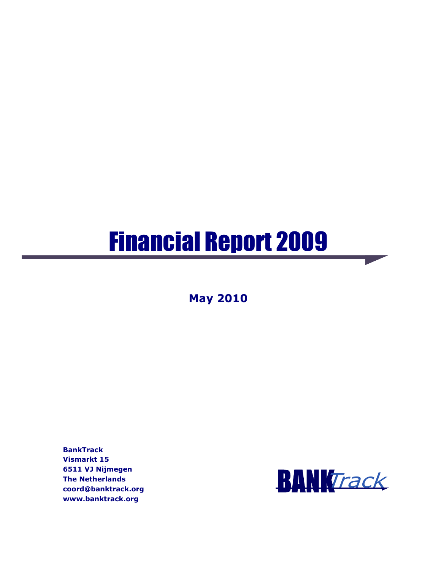# Financial Report 2009

**May 2010** 

**BankTrack Vismarkt 15 6511 VJ Nijmegen The Netherlands coord@banktrack.org www.banktrack.org** 

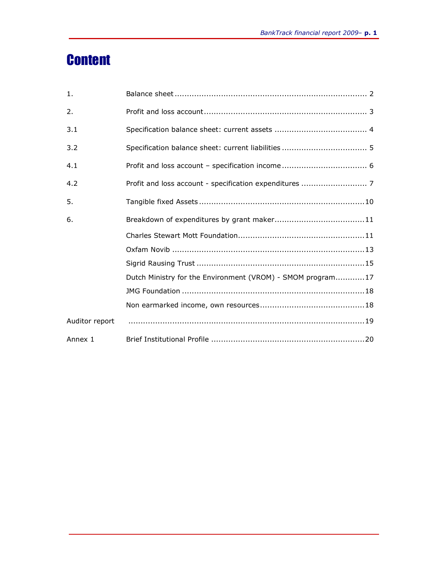## **Content**

| 1.             |                                                            |
|----------------|------------------------------------------------------------|
| 2.             |                                                            |
| 3.1            |                                                            |
| 3.2            |                                                            |
| 4.1            |                                                            |
| 4.2            |                                                            |
| 5.             |                                                            |
| 6.             |                                                            |
|                |                                                            |
|                |                                                            |
|                |                                                            |
|                | Dutch Ministry for the Environment (VROM) - SMOM program17 |
|                |                                                            |
|                |                                                            |
| Auditor report |                                                            |
| Annex 1        |                                                            |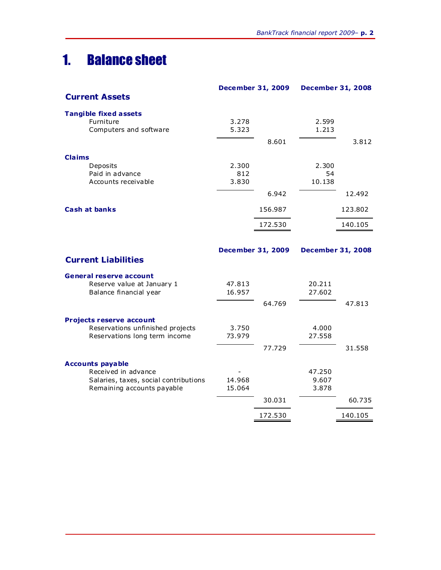### 1. Balance sheet

|                                        | <b>December 31, 2009</b> |         | <b>December 31, 2008</b> |         |
|----------------------------------------|--------------------------|---------|--------------------------|---------|
| <b>Current Assets</b>                  |                          |         |                          |         |
| <b>Tangible fixed assets</b>           |                          |         |                          |         |
| Furniture                              | 3.278<br>5.323           |         | 2.599<br>1.213           |         |
| Computers and software                 |                          |         |                          |         |
|                                        |                          | 8.601   |                          | 3.812   |
| <b>Claims</b>                          |                          |         |                          |         |
| Deposits                               | 2.300                    |         | 2.300                    |         |
| Paid in advance<br>Accounts receivable | 812<br>3.830             |         | 54<br>10.138             |         |
|                                        |                          |         |                          |         |
|                                        |                          | 6.942   |                          | 12.492  |
| <b>Cash at banks</b>                   |                          | 156.987 |                          | 123.802 |
|                                        |                          | 172.530 |                          | 140.105 |
|                                        |                          |         |                          |         |
|                                        | <b>December 31, 2009</b> |         | <b>December 31, 2008</b> |         |
| <b>Current Liabilities</b>             |                          |         |                          |         |
| <b>General reserve account</b>         |                          |         |                          |         |
| Reserve value at January 1             | 47.813                   |         | 20.211                   |         |
| Balance financial year                 | 16.957                   |         | 27.602                   |         |
|                                        |                          | 64.769  |                          | 47.813  |
| <b>Projects reserve account</b>        |                          |         |                          |         |
| Reservations unfinished projects       | 3.750                    |         | 4.000                    |         |
| Reservations long term income          | 73.979                   |         | 27.558                   |         |
|                                        |                          | 77.729  |                          | 31.558  |
| <b>Accounts payable</b>                |                          |         |                          |         |
| Received in advance                    |                          |         | 47.250                   |         |
| Salaries, taxes, social contributions  | 14.968                   |         | 9.607<br>3.878           |         |
| Remaining accounts payable             | 15.064                   |         |                          |         |
|                                        |                          | 30.031  |                          | 60.735  |
|                                        |                          | 172.530 |                          | 140.105 |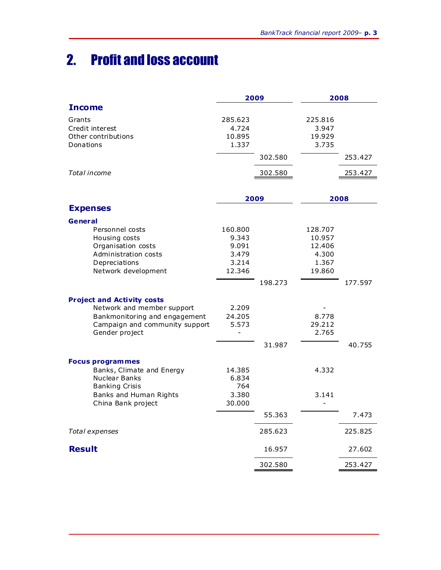## 2. Profit and loss account

|                                                 |                 | 2009    |                  | 2008    |
|-------------------------------------------------|-----------------|---------|------------------|---------|
| <b>Income</b>                                   |                 |         |                  |         |
| Grants                                          | 285.623         |         | 225.816          |         |
| Credit interest                                 | 4.724           |         | 3.947            |         |
| Other contributions<br>Donations                | 10.895<br>1.337 |         | 19.929<br>3.735  |         |
|                                                 |                 | 302.580 |                  | 253.427 |
|                                                 |                 |         |                  |         |
| Total income                                    |                 | 302.580 |                  | 253.427 |
|                                                 |                 |         |                  |         |
|                                                 |                 | 2009    |                  | 2008    |
| <b>Expenses</b>                                 |                 |         |                  |         |
| General                                         |                 |         |                  |         |
| Personnel costs                                 | 160.800         |         | 128.707          |         |
| Housing costs<br>Organisation costs             | 9.343<br>9.091  |         | 10.957<br>12.406 |         |
| Administration costs                            | 3.479           |         | 4.300            |         |
| Depreciations                                   | 3.214           |         | 1.367            |         |
| Network development                             | 12.346          |         | 19.860           |         |
|                                                 |                 | 198.273 |                  | 177.597 |
| <b>Project and Activity costs</b>               |                 |         |                  |         |
| Network and member support                      | 2.209           |         |                  |         |
| Bankmonitoring and engagement                   | 24.205          |         | 8.778            |         |
| Campaign and community support                  | 5.573           |         | 29.212           |         |
| Gender project                                  |                 |         | 2.765            |         |
|                                                 |                 | 31.987  |                  | 40.755  |
| <b>Focus programmes</b>                         |                 |         |                  |         |
| Banks, Climate and Energy                       | 14.385          |         | 4.332            |         |
| Nuclear Banks                                   | 6.834           |         |                  |         |
| <b>Banking Crisis</b><br>Banks and Human Rights | 764<br>3.380    |         | 3.141            |         |
| China Bank project                              | 30.000          |         |                  |         |
|                                                 |                 | 55.363  |                  | 7.473   |
| Total expenses                                  |                 | 285.623 |                  | 225.825 |
| <b>Result</b>                                   |                 | 16.957  |                  | 27.602  |
|                                                 |                 | 302.580 |                  | 253.427 |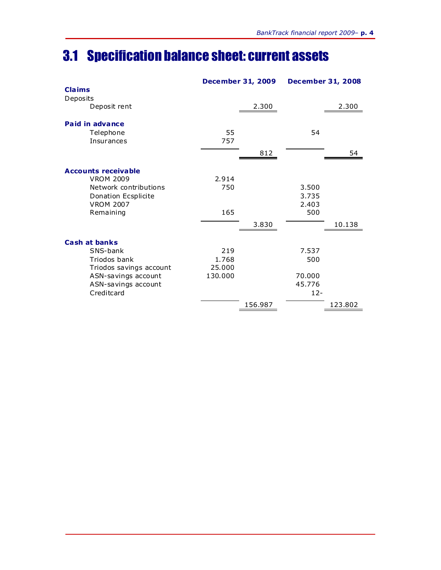### 3.1 Specification balance sheet: current assets

|                                           |         | <b>December 31, 2009</b> | <b>December 31, 2008</b> |         |
|-------------------------------------------|---------|--------------------------|--------------------------|---------|
| <b>Claims</b><br>Deposits<br>Deposit rent |         | 2.300                    |                          | 2.300   |
|                                           |         |                          |                          |         |
| Paid in advance                           |         |                          |                          |         |
| Telephone                                 | 55      |                          | 54                       |         |
| Insurances                                | 757     |                          |                          |         |
|                                           |         | 812                      |                          | 54      |
| <b>Accounts receivable</b>                |         |                          |                          |         |
| <b>VROM 2009</b>                          | 2.914   |                          |                          |         |
| Network contributions                     | 750     |                          | 3.500                    |         |
| Donation Ecsplicite                       |         |                          | 3.735                    |         |
| <b>VROM 2007</b><br>Remaining             | 165     |                          | 2.403<br>500             |         |
|                                           |         |                          |                          |         |
|                                           |         | 3.830                    |                          | 10.138  |
| <b>Cash at banks</b>                      |         |                          |                          |         |
| SNS-bank                                  | 219     |                          | 7.537                    |         |
| Triodos bank                              | 1.768   |                          | 500                      |         |
| Triodos savings account                   | 25.000  |                          |                          |         |
| ASN-savings account                       | 130.000 |                          | 70,000<br>45.776         |         |
| ASN-savings account<br>Creditcard         |         |                          | $12 -$                   |         |
|                                           |         |                          |                          |         |
|                                           |         | 156.987                  |                          | 123.802 |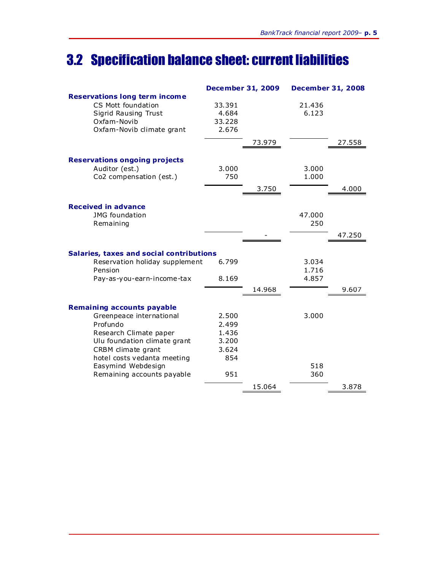## 3.2 Specification balance sheet: current liabilities

|                                                 | <b>December 31, 2009</b> |        | <b>December 31, 2008</b> |        |
|-------------------------------------------------|--------------------------|--------|--------------------------|--------|
| <b>Reservations long term income</b>            |                          |        |                          |        |
| CS Mott foundation                              | 33.391                   |        | 21,436                   |        |
| Sigrid Rausing Trust                            | 4.684                    |        | 6.123                    |        |
| Oxfam-Novib                                     | 33.228                   |        |                          |        |
| Oxfam-Novib climate grant                       | 2.676                    |        |                          |        |
|                                                 |                          | 73.979 |                          | 27.558 |
|                                                 |                          |        |                          |        |
| <b>Reservations ongoing projects</b>            |                          |        |                          |        |
| Auditor (est.)                                  | 3.000<br>750             |        | 3.000<br>1.000           |        |
| Co2 compensation (est.)                         |                          |        |                          |        |
|                                                 |                          | 3.750  |                          | 4.000  |
| <b>Received in advance</b>                      |                          |        |                          |        |
| <b>JMG</b> foundation                           |                          |        | 47.000                   |        |
| Remaining                                       |                          |        | 250                      |        |
|                                                 |                          |        |                          | 47.250 |
|                                                 |                          |        |                          |        |
| <b>Salaries, taxes and social contributions</b> |                          |        |                          |        |
| Reservation holiday supplement                  | 6.799                    |        | 3.034                    |        |
| Pension                                         |                          |        | 1.716                    |        |
| Pay-as-you-earn-income-tax                      | 8.169                    |        | 4.857                    |        |
|                                                 |                          | 14.968 |                          | 9.607  |
|                                                 |                          |        |                          |        |
| <b>Remaining accounts payable</b>               |                          |        |                          |        |
| Greenpeace international                        | 2.500                    |        | 3.000                    |        |
| Profundo                                        | 2.499                    |        |                          |        |
| Research Climate paper                          | 1.436                    |        |                          |        |
| Ulu foundation climate grant                    | 3.200                    |        |                          |        |
| CRBM climate grant                              | 3.624                    |        |                          |        |
| hotel costs vedanta meeting                     | 854                      |        |                          |        |
| Easymind Webdesign                              |                          |        | 518                      |        |
| Remaining accounts payable                      | 951                      |        | 360                      |        |
|                                                 |                          | 15.064 |                          | 3.878  |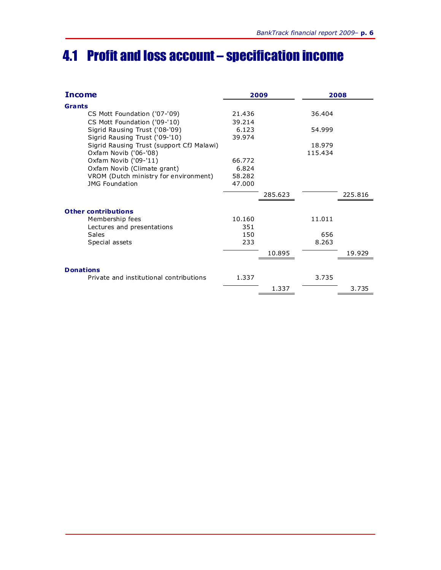### 4.1 Profit and loss account – specification income

| <b>Income</b>                             | 2009   |         | 2008    |         |
|-------------------------------------------|--------|---------|---------|---------|
| Grants                                    |        |         |         |         |
| CS Mott Foundation ('07-'09)              | 21.436 |         | 36.404  |         |
| CS Mott Foundation ('09-'10)              | 39.214 |         |         |         |
| Sigrid Rausing Trust ('08-'09)            | 6.123  |         | 54.999  |         |
| Sigrid Rausing Trust ('09-'10)            | 39.974 |         |         |         |
| Sigrid Rausing Trust (support CfJ Malawi) |        |         | 18.979  |         |
| Oxfam Novib ('06-'08)                     |        |         | 115.434 |         |
| Oxfam Novib ('09-'11)                     | 66.772 |         |         |         |
| Oxfam Novib (Climate grant)               | 6.824  |         |         |         |
| VROM (Dutch ministry for environment)     | 58.282 |         |         |         |
| <b>JMG Foundation</b>                     | 47.000 |         |         |         |
|                                           |        | 285.623 |         | 225.816 |
| <b>Other contributions</b>                |        |         |         |         |
| Membership fees                           | 10.160 |         | 11.011  |         |
| Lectures and presentations                | 351    |         |         |         |
| Sales                                     | 150    |         | 656     |         |
| Special assets                            | 233    |         | 8.263   |         |
|                                           |        | 10.895  |         | 19.929  |
| <b>Donations</b>                          |        |         |         |         |
| Private and institutional contributions   | 1.337  |         | 3.735   |         |
|                                           |        |         |         |         |
|                                           |        | 1.337   |         | 3.735   |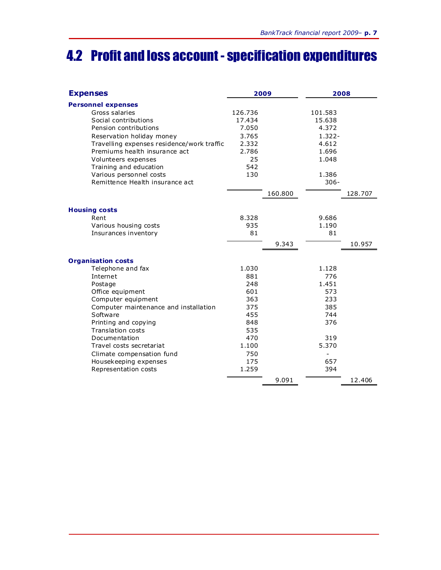### 4.2 Profit and loss account - specification expenditures

| <b>Expenses</b>                            | 2009    |         | 2008      |         |
|--------------------------------------------|---------|---------|-----------|---------|
| <b>Personnel expenses</b>                  |         |         |           |         |
| Gross salaries                             | 126.736 |         | 101.583   |         |
| Social contributions                       | 17.434  |         | 15.638    |         |
| Pension contributions                      | 7.050   |         | 4.372     |         |
| Reservation holiday money                  | 3.765   |         | $1.322 -$ |         |
| Travelling expenses residence/work traffic | 2.332   |         | 4.612     |         |
| Premiums health insurance act              | 2.786   |         | 1.696     |         |
| Volunteers expenses                        | 25      |         | 1.048     |         |
| Training and education                     | 542     |         |           |         |
| Various personnel costs                    | 130     |         | 1.386     |         |
| Remittence Health insurance act            |         |         | $306 -$   |         |
|                                            |         | 160.800 |           | 128.707 |
|                                            |         |         |           |         |
| <b>Housing costs</b>                       |         |         |           |         |
| Rent                                       | 8.328   |         | 9.686     |         |
| Various housing costs                      | 935     |         | 1.190     |         |
| Insurances inventory                       | 81      |         | 81        |         |
|                                            |         | 9.343   |           | 10.957  |
| <b>Organisation costs</b>                  |         |         |           |         |
| Telephone and fax                          | 1.030   |         | 1.128     |         |
| Internet                                   | 881     |         | 776       |         |
| Postage                                    | 248     |         | 1.451     |         |
| Office equipment                           | 601     |         | 573       |         |
| Computer equipment                         | 363     |         | 233       |         |
| Computer maintenance and installation      | 375     |         | 385       |         |
| Software                                   | 455     |         | 744       |         |
| Printing and copying                       | 848     |         | 376       |         |
| <b>Translation costs</b>                   | 535     |         |           |         |
| Documentation                              | 470     |         | 319       |         |
| Travel costs secretariat                   | 1.100   |         | 5.370     |         |
| Climate compensation fund                  | 750     |         |           |         |
| Housekeeping expenses                      | 175     |         | 657       |         |
| Representation costs                       | 1.259   |         | 394       |         |
|                                            |         | 9.091   |           | 12.406  |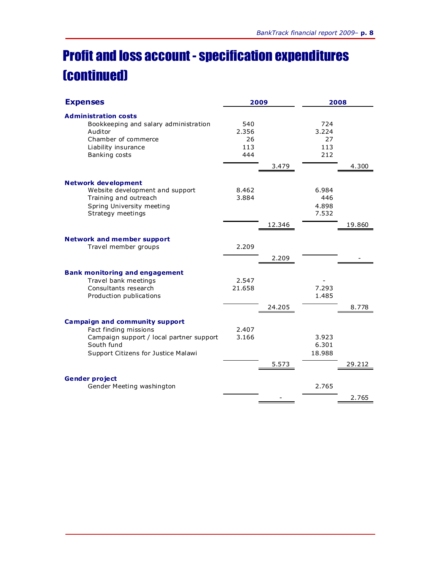## Profit and loss account - specification expenditures (continued)

| <b>Expenses</b>                                                                                                                                                 |                                  | 2009   |                                  | 2008   |  |
|-----------------------------------------------------------------------------------------------------------------------------------------------------------------|----------------------------------|--------|----------------------------------|--------|--|
| <b>Administration costs</b><br>Bookkeeping and salary administration<br>Auditor<br>Chamber of commerce<br>Liability insurance<br>Banking costs                  | 540<br>2.356<br>26<br>113<br>444 | 3.479  | 724<br>3.224<br>27<br>113<br>212 | 4.300  |  |
| <b>Network development</b><br>Website development and support<br>Training and outreach<br>Spring University meeting<br>Strategy meetings                        | 8.462<br>3.884                   | 12.346 | 6.984<br>446<br>4.898<br>7.532   | 19.860 |  |
| <b>Network and member support</b><br>Travel member groups                                                                                                       | 2.209                            | 2.209  |                                  |        |  |
| <b>Bank monitoring and engagement</b><br>Travel bank meetings<br>Consultants research<br>Production publications                                                | 2.547<br>21.658                  | 24.205 | 7.293<br>1.485                   | 8.778  |  |
| <b>Campaign and community support</b><br>Fact finding missions<br>Campaign support / local partner support<br>South fund<br>Support Citizens for Justice Malawi | 2.407<br>3.166                   | 5.573  | 3.923<br>6.301<br>18.988         | 29.212 |  |
| <b>Gender project</b><br>Gender Meeting washington                                                                                                              |                                  |        | 2.765                            | 2.765  |  |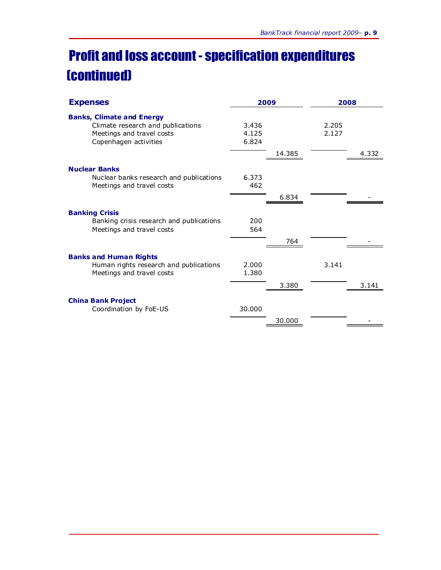## Profit and loss account - specification expenditures (continued)

| <b>Expenses</b>                                                                                                             | 2009                    |        |                | 2008  |  |
|-----------------------------------------------------------------------------------------------------------------------------|-------------------------|--------|----------------|-------|--|
| <b>Banks, Climate and Energy</b><br>Climate research and publications<br>Meetings and travel costs<br>Copenhagen activities | 3.436<br>4.125<br>6.824 | 14.385 | 2.205<br>2.127 | 4.332 |  |
| <b>Nuclear Banks</b><br>Nuclear banks research and publications<br>Meetings and travel costs                                | 6.373<br>462            | 6.834  |                |       |  |
| <b>Banking Crisis</b><br>Banking crisis research and publications<br>Meetings and travel costs                              | 200<br>564              | 764    |                |       |  |
| <b>Banks and Human Rights</b><br>Human rights research and publications<br>Meetings and travel costs                        | 2.000<br>1.380          | 3.380  | 3.141          | 3.141 |  |
| <b>China Bank Project</b><br>Coordination by FoE-US                                                                         | 30,000                  | 30,000 |                |       |  |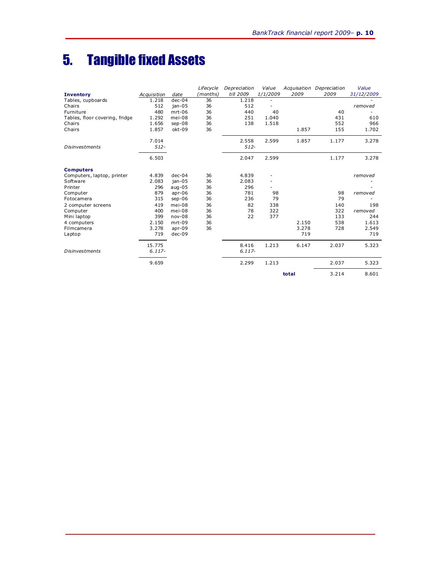## 5. Tangible fixed Assets

|                                |             |          | Lifecycle | Depreciation | Value    |       | Acquisation Depreciation | Value      |
|--------------------------------|-------------|----------|-----------|--------------|----------|-------|--------------------------|------------|
| <b>Inventory</b>               | Acquisition | date     | (months)  | till 2009    | 1/1/2009 | 2009  | 2009                     | 31/12/2009 |
| Tables, cupboards              | 1.218       | $dec-04$ | 36        | 1.218        |          |       |                          |            |
| Chairs                         | 512         | $jan-05$ | 36        | 512          |          |       |                          | removed    |
| Furniture                      | 480         | $mrt-06$ | 36        | 440          | 40       |       | 40                       |            |
| Tables, floor covering, fridge | 1.292       | mei-08   | 36        | 251          | 1.040    |       | 431                      | 610        |
| Chairs                         | 1.656       | sep-08   | 36        | 138          | 1.518    |       | 552                      | 966        |
| Chairs                         | 1.857       | okt-09   | 36        |              |          | 1.857 | 155                      | 1.702      |
|                                | 7.014       |          |           | 2.558        | 2.599    | 1.857 | 1.177                    | 3.278      |
| <b>Disinvestments</b>          | $512 -$     |          |           | $512 -$      |          |       |                          |            |
|                                | 6.503       |          |           | 2.047        | 2.599    |       | 1.177                    | 3.278      |
| <b>Computers</b>               |             |          |           |              |          |       |                          |            |
| Computers, laptop, printer     | 4.839       | $dec-04$ | 36        | 4.839        |          |       |                          | removed    |
| Software                       | 2.083       | $jan-05$ | 36        | 2.083        |          |       |                          |            |
| Printer                        | 296         | $aug-05$ | 36        | 296          |          |       |                          |            |
| Computer                       | 879         | $apr-06$ | 36        | 781          | 98       |       | 98                       | removed    |
| Fotocamera                     | 315         | $sep-06$ | 36        | 236          | 79       |       | 79                       |            |
| 2 computer screens             | 419         | mei-08   | 36        | 82           | 338      |       | 140                      | 198        |
| Computer                       | 400         | mei-08   | 36        | 78           | 322      |       | 322                      | removed    |
| Mini laptop                    | 399         | $nov-08$ | 36        | 22           | 377      |       | 133                      | 244        |
| 4 computers                    | 2.150       | $mrt-09$ | 36        |              |          | 2.150 | 538                      | 1.613      |
| Filmcamera                     | 3.278       | $apr-09$ | 36        |              |          | 3.278 | 728                      | 2.549      |
| Laptop                         | 719         | $dec-09$ |           |              |          | 719   |                          | 719        |
|                                | 15.775      |          |           | 8.416        | 1.213    | 6.147 | 2.037                    | 5.323      |
| <b>Disinvestments</b>          | $6.117 -$   |          |           | $6.117 -$    |          |       |                          |            |
|                                | 9.659       |          |           | 2.299        | 1.213    |       | 2.037                    | 5.323      |
|                                |             |          |           |              |          | total | 3.214                    | 8.601      |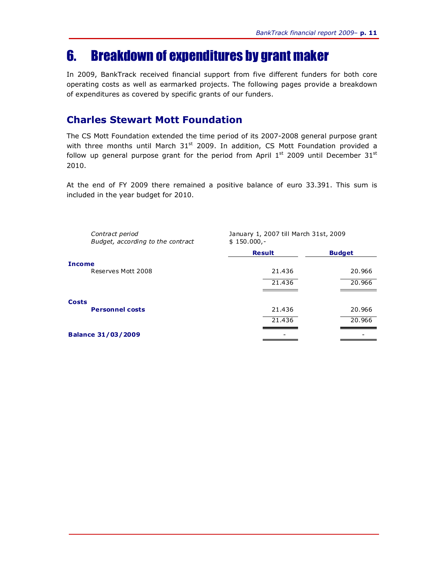### 6. Breakdown of expenditures by grant maker

In 2009, BankTrack received financial support from five different funders for both core operating costs as well as earmarked projects. The following pages provide a breakdown of expenditures as covered by specific grants of our funders.

#### **Charles Stewart Mott Foundation**

The CS Mott Foundation extended the time period of its 2007-2008 general purpose grant with three months until March  $31<sup>st</sup>$  2009. In addition, CS Mott Foundation provided a follow up general purpose grant for the period from April  $1<sup>st</sup>$  2009 until December  $31<sup>st</sup>$ 2010.

At the end of FY 2009 there remained a positive balance of euro 33.391. This sum is included in the year budget for 2010.

| Contract period<br>Budget, according to the contract | January 1, 2007 till March 31st, 2009<br>$$150.000,-$ |               |
|------------------------------------------------------|-------------------------------------------------------|---------------|
|                                                      | <b>Result</b>                                         | <b>Budget</b> |
| <b>Income</b>                                        |                                                       |               |
| Reserves Mott 2008                                   | 21.436                                                | 20.966        |
|                                                      | 21.436                                                | 20.966        |
|                                                      |                                                       |               |
| <b>Costs</b>                                         |                                                       |               |
| <b>Personnel costs</b>                               | 21.436                                                | 20.966        |
|                                                      | 21.436                                                | 20.966        |
| <b>Balance 31/03/2009</b>                            |                                                       |               |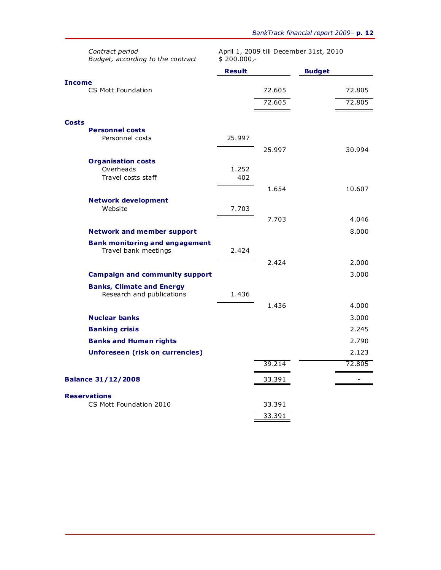|              | Contract period<br>April 1, 2009 till December 31st, 2010<br>Budget, according to the contract<br>$$200.000,-$ |               |        |               |        |
|--------------|----------------------------------------------------------------------------------------------------------------|---------------|--------|---------------|--------|
|              |                                                                                                                | <b>Result</b> |        | <b>Budget</b> |        |
| Income       | CS Mott Foundation                                                                                             |               | 72.605 |               | 72.805 |
|              |                                                                                                                |               | 72.605 |               | 72.805 |
|              |                                                                                                                |               |        |               |        |
| <b>Costs</b> |                                                                                                                |               |        |               |        |
|              | <b>Personnel costs</b><br>Personnel costs                                                                      | 25.997        |        |               |        |
|              |                                                                                                                |               | 25.997 |               | 30.994 |
|              | <b>Organisation costs</b>                                                                                      |               |        |               |        |
|              | Overheads                                                                                                      | 1.252         |        |               |        |
|              | Travel costs staff                                                                                             | 402           |        |               |        |
|              |                                                                                                                |               | 1.654  |               | 10.607 |
|              | <b>Network development</b>                                                                                     |               |        |               |        |
|              | Website                                                                                                        | 7.703         |        |               |        |
|              |                                                                                                                |               | 7.703  |               | 4.046  |
|              | <b>Network and member support</b>                                                                              |               |        |               | 8.000  |
|              | <b>Bank monitoring and engagement</b><br>Travel bank meetings                                                  | 2.424         |        |               |        |
|              |                                                                                                                |               | 2.424  |               | 2.000  |
|              | <b>Campaign and community support</b>                                                                          |               |        |               | 3.000  |
|              | <b>Banks, Climate and Energy</b><br>Research and publications                                                  | 1.436         |        |               |        |
|              |                                                                                                                |               | 1.436  |               | 4.000  |
|              | <b>Nuclear banks</b>                                                                                           |               |        |               | 3.000  |
|              | <b>Banking crisis</b>                                                                                          |               |        |               | 2.245  |
|              | <b>Banks and Human rights</b>                                                                                  |               |        |               | 2.790  |
|              | <b>Unforeseen (risk on currencies)</b>                                                                         |               |        |               | 2.123  |
|              |                                                                                                                |               | 39.214 |               | 72.805 |
|              | <b>Balance 31/12/2008</b>                                                                                      |               | 33.391 |               |        |
|              |                                                                                                                |               |        |               |        |
|              | <b>Reservations</b><br>CS Mott Foundation 2010                                                                 |               | 33.391 |               |        |
|              |                                                                                                                |               | 33.391 |               |        |
|              |                                                                                                                |               |        |               |        |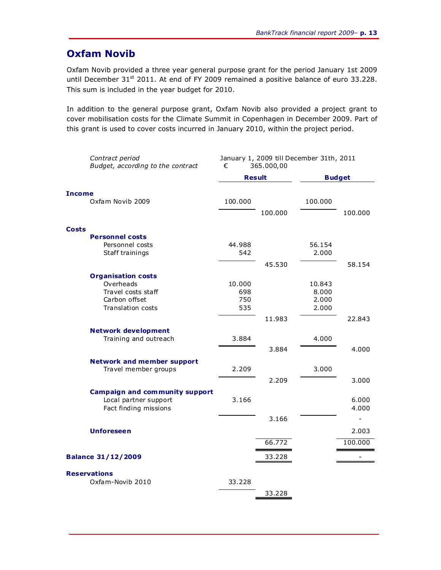### **Oxfam Novib**

Oxfam Novib provided a three year general purpose grant for the period January 1st 2009 until December 31<sup>st</sup> 2011. At end of FY 2009 remained a positive balance of euro 33.228. This sum is included in the year budget for 2010.

In addition to the general purpose grant, Oxfam Novib also provided a project grant to cover mobilisation costs for the Climate Summit in Copenhagen in December 2009. Part of this grant is used to cover costs incurred in January 2010, within the project period.

| Contract period<br>Budget, according to the contract | January 1, 2009 till December 31th, 2011<br>€<br>365.000,00 |         |               |         |  |
|------------------------------------------------------|-------------------------------------------------------------|---------|---------------|---------|--|
|                                                      | <b>Result</b>                                               |         | <b>Budget</b> |         |  |
| <b>Income</b>                                        |                                                             |         |               |         |  |
| Oxfam Novib 2009                                     | 100.000                                                     |         | 100.000       |         |  |
|                                                      |                                                             | 100.000 |               | 100.000 |  |
| <b>Costs</b>                                         |                                                             |         |               |         |  |
| <b>Personnel costs</b>                               |                                                             |         |               |         |  |
| Personnel costs                                      | 44.988                                                      |         | 56.154        |         |  |
| Staff trainings                                      | 542                                                         |         | 2.000         |         |  |
|                                                      |                                                             | 45.530  |               | 58.154  |  |
| <b>Organisation costs</b>                            |                                                             |         |               |         |  |
| Overheads                                            | 10.000                                                      |         | 10.843        |         |  |
| Travel costs staff                                   | 698                                                         |         | 8.000         |         |  |
| Carbon offset                                        | 750                                                         |         | 2.000         |         |  |
| <b>Translation costs</b>                             | 535                                                         |         | 2.000         |         |  |
|                                                      |                                                             | 11.983  |               | 22.843  |  |
| <b>Network development</b>                           |                                                             |         |               |         |  |
| Training and outreach                                | 3.884                                                       |         | 4.000         |         |  |
|                                                      |                                                             | 3.884   |               | 4.000   |  |
| <b>Network and member support</b>                    |                                                             |         |               |         |  |
| Travel member groups                                 | 2.209                                                       |         | 3.000         |         |  |
|                                                      |                                                             | 2.209   |               | 3.000   |  |
| <b>Campaign and community support</b>                |                                                             |         |               |         |  |
| Local partner support                                | 3.166                                                       |         |               | 6.000   |  |
| Fact finding missions                                |                                                             |         |               | 4.000   |  |
|                                                      |                                                             | 3.166   |               |         |  |
| <b>Unforeseen</b>                                    |                                                             |         |               | 2.003   |  |
|                                                      |                                                             |         |               |         |  |
|                                                      |                                                             | 66.772  |               | 100.000 |  |
| <b>Balance 31/12/2009</b>                            |                                                             | 33.228  |               |         |  |
| <b>Reservations</b>                                  |                                                             |         |               |         |  |
| Oxfam-Novib 2010                                     | 33.228                                                      |         |               |         |  |
|                                                      |                                                             | 33.228  |               |         |  |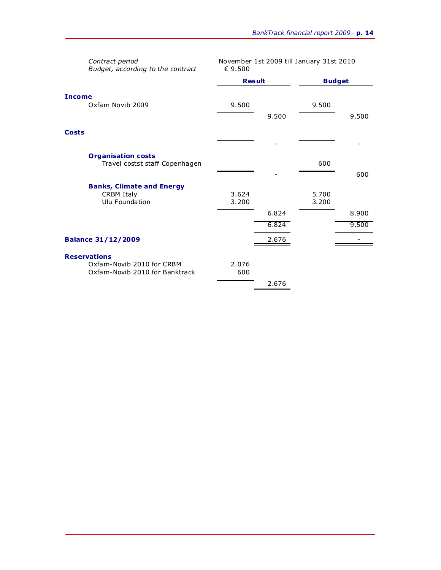| Contract period<br>Budget, according to the contract        | November 1st 2009 till January 31st 2010<br>€ 9.500 |       |               |       |
|-------------------------------------------------------------|-----------------------------------------------------|-------|---------------|-------|
|                                                             | <b>Result</b>                                       |       | <b>Budget</b> |       |
| <b>Income</b>                                               |                                                     |       |               |       |
| Oxfam Novib 2009                                            | 9.500                                               |       | 9.500         |       |
|                                                             |                                                     | 9.500 |               | 9.500 |
| <b>Costs</b>                                                |                                                     |       |               |       |
|                                                             |                                                     |       |               |       |
| <b>Organisation costs</b><br>Travel costst staff Copenhagen |                                                     |       | 600           |       |
|                                                             |                                                     |       |               | 600   |
| <b>Banks, Climate and Energy</b>                            |                                                     |       |               |       |
| <b>CRBM Italy</b><br>Ulu Foundation                         | 3.624<br>3.200                                      |       | 5.700         |       |
|                                                             |                                                     |       | 3.200         |       |
|                                                             |                                                     | 6.824 |               | 8.900 |
|                                                             |                                                     | 6.824 |               | 9.500 |
| <b>Balance 31/12/2009</b>                                   |                                                     | 2.676 |               |       |
| <b>Reservations</b>                                         |                                                     |       |               |       |
| Oxfam-Novib 2010 for CRBM                                   | 2.076                                               |       |               |       |
| Oxfam-Novib 2010 for Banktrack                              | 600                                                 |       |               |       |
|                                                             |                                                     | 2.676 |               |       |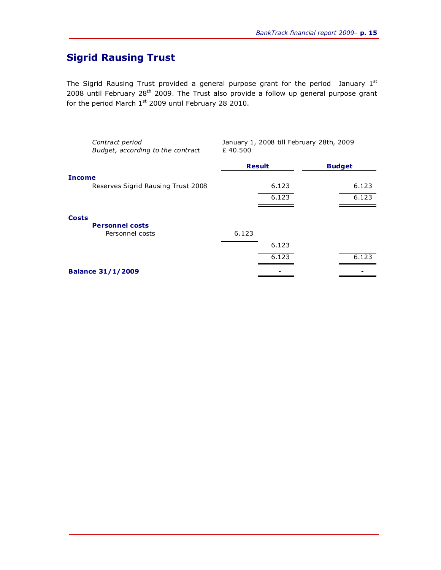### **Sigrid Rausing Trust**

The Sigrid Rausing Trust provided a general purpose grant for the period January 1st 2008 until February 28th 2009. The Trust also provide a follow up general purpose grant for the period March  $1^{st}$  2009 until February 28 2010.

|               | Contract period<br>Budget, according to the contract | January 1, 2008 till February 28th, 2009<br>£40.500 |       |               |
|---------------|------------------------------------------------------|-----------------------------------------------------|-------|---------------|
|               |                                                      | <b>Result</b>                                       |       | <b>Budget</b> |
| <b>Income</b> |                                                      |                                                     |       |               |
|               | Reserves Sigrid Rausing Trust 2008                   |                                                     | 6.123 | 6.123         |
|               |                                                      |                                                     | 6.123 | 6.123         |
|               |                                                      |                                                     |       |               |
| <b>Costs</b>  |                                                      |                                                     |       |               |
|               | <b>Personnel costs</b>                               |                                                     |       |               |
|               | Personnel costs                                      | 6.123                                               |       |               |
|               |                                                      |                                                     | 6.123 |               |
|               |                                                      |                                                     | 6.123 | 6.123         |
|               | <b>Balance 31/1/2009</b>                             |                                                     |       |               |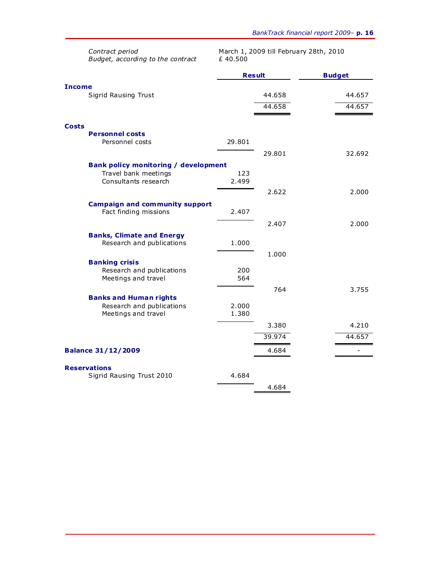|              | Contract period<br>Budget, according to the contract          | March 1, 2009 till February 28th, 2010<br>£40.500 |        |               |
|--------------|---------------------------------------------------------------|---------------------------------------------------|--------|---------------|
|              |                                                               | <b>Result</b>                                     |        | <b>Budget</b> |
| Income       |                                                               |                                                   |        |               |
|              | Sigrid Rausing Trust                                          |                                                   | 44.658 | 44.657        |
|              |                                                               |                                                   | 44.658 | 44.657        |
| <b>Costs</b> |                                                               |                                                   |        |               |
|              | <b>Personnel costs</b>                                        |                                                   |        |               |
|              | Personnel costs                                               | 29.801                                            |        |               |
|              |                                                               |                                                   | 29.801 | 32.692        |
|              | <b>Bank policy monitoring / development</b>                   |                                                   |        |               |
|              | Travel bank meetings                                          | 123                                               |        |               |
|              | Consultants research                                          | 2.499                                             |        |               |
|              |                                                               |                                                   | 2.622  | 2.000         |
|              | <b>Campaign and community support</b>                         |                                                   |        |               |
|              | Fact finding missions                                         | 2.407                                             |        |               |
|              |                                                               |                                                   | 2.407  | 2.000         |
|              | <b>Banks, Climate and Energy</b><br>Research and publications | 1.000                                             |        |               |
|              |                                                               |                                                   | 1.000  |               |
|              | <b>Banking crisis</b>                                         |                                                   |        |               |
|              | Research and publications                                     | 200                                               |        |               |
|              | Meetings and travel                                           | 564                                               |        |               |
|              | <b>Banks and Human rights</b>                                 |                                                   | 764    | 3.755         |
|              | Research and publications                                     | 2.000                                             |        |               |
|              | Meetings and travel                                           | 1.380                                             |        |               |
|              |                                                               |                                                   | 3.380  | 4.210         |
|              |                                                               |                                                   | 39.974 | 44.657        |
|              | <b>Balance 31/12/2009</b>                                     |                                                   | 4.684  |               |
|              | <b>Reservations</b>                                           |                                                   |        |               |
|              | Sigrid Rausing Trust 2010                                     | 4.684                                             |        |               |
|              |                                                               |                                                   | 4.684  |               |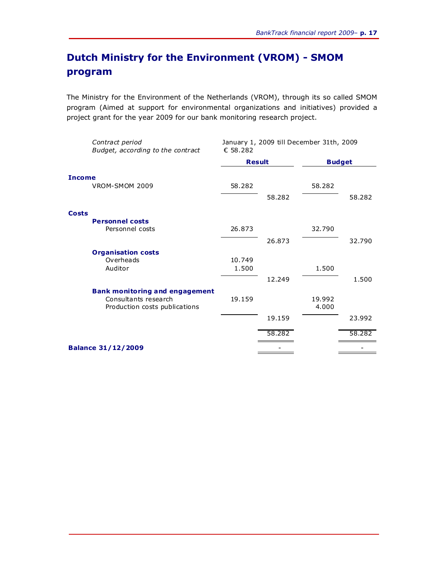### **Dutch Ministry for the Environment (VROM) - SMOM program**

The Ministry for the Environment of the Netherlands (VROM), through its so called SMOM program (Aimed at support for environmental organizations and initiatives) provided a project grant for the year 2009 for our bank monitoring research project.

|               | Contract period<br>Budget, according to the contract | January 1, 2009 till December 31th, 2009<br>€ 58.282 |        |               |        |
|---------------|------------------------------------------------------|------------------------------------------------------|--------|---------------|--------|
|               |                                                      | <b>Result</b>                                        |        | <b>Budget</b> |        |
| <b>Income</b> |                                                      |                                                      |        |               |        |
|               | VROM-SMOM 2009                                       | 58.282                                               |        | 58.282        |        |
|               |                                                      |                                                      | 58.282 |               | 58.282 |
| <b>Costs</b>  |                                                      |                                                      |        |               |        |
|               | <b>Personnel costs</b>                               |                                                      |        |               |        |
|               | Personnel costs                                      | 26.873                                               |        | 32.790        |        |
|               |                                                      |                                                      | 26.873 |               | 32.790 |
|               | <b>Organisation costs</b>                            |                                                      |        |               |        |
|               | Overheads                                            | 10.749                                               |        |               |        |
|               | Auditor                                              | 1.500                                                |        | 1.500         |        |
|               |                                                      |                                                      | 12.249 |               | 1.500  |
|               | <b>Bank monitoring and engagement</b>                |                                                      |        |               |        |
|               | Consultants research                                 | 19.159                                               |        | 19.992        |        |
|               | Production costs publications                        |                                                      |        | 4.000         |        |
|               |                                                      |                                                      | 19.159 |               | 23.992 |
|               |                                                      |                                                      | 58.282 |               | 58.282 |
|               | <b>Balance 31/12/2009</b>                            |                                                      |        |               |        |
|               |                                                      |                                                      |        |               |        |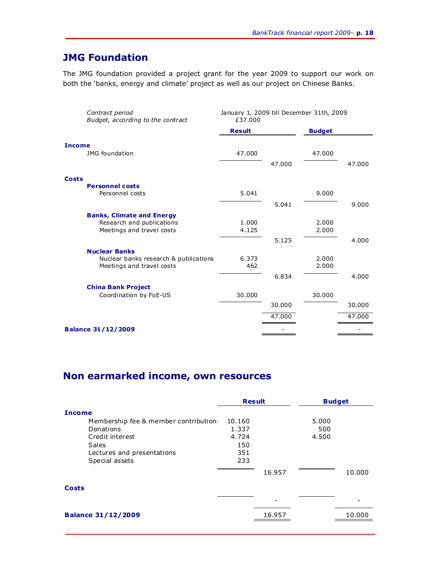### **JMG Foundation**

The JMG foundation provided a project grant for the year 2009 to support our work on both the 'banks, energy and climate' project as well as our project on Chinese Banks.

| <b>Result</b><br><b>Budget</b><br><b>JMG</b> foundation<br>47.000<br>47.000<br>47.000 | 47.000 |
|---------------------------------------------------------------------------------------|--------|
| Income<br><b>Costs</b>                                                                |        |
|                                                                                       |        |
|                                                                                       |        |
|                                                                                       |        |
|                                                                                       |        |
| <b>Personnel costs</b>                                                                |        |
| 5.041<br>Personnel costs<br>9.000                                                     |        |
| 5.041                                                                                 | 9.000  |
| <b>Banks, Climate and Energy</b>                                                      |        |
| Research and publications<br>1.000<br>2.000                                           |        |
| Meetings and travel costs<br>4.125<br>2.000                                           |        |
| 5.125                                                                                 | 4.000  |
| <b>Nuclear Banks</b>                                                                  |        |
| 6.373<br>2.000<br>Nuclear banks research & publications                               |        |
| Meetings and travel costs<br>462<br>2.000                                             |        |
| 6.834                                                                                 | 4.000  |
| <b>China Bank Project</b>                                                             |        |
| Coordination by FoE-US<br>30,000<br>30.000                                            |        |
| 30.000                                                                                | 30.000 |
| 47.000                                                                                | 47.000 |
| <b>Balance 31/12/2009</b>                                                             |        |

### **Non earmarked income, own resources**

|                                      | <b>Result</b> |        | <b>Budget</b> |        |
|--------------------------------------|---------------|--------|---------------|--------|
| <b>Income</b>                        |               |        |               |        |
| Membership fee & member contribution | 10.160        |        | 5.000         |        |
| Donations                            | 1.337         |        | 500           |        |
| Credit interest                      | 4.724         |        | 4.500         |        |
| <b>Sales</b>                         | 150           |        |               |        |
| Lectures and presentations           | 351           |        |               |        |
| Special assets                       | 233           |        |               |        |
|                                      |               | 16.957 |               | 10,000 |
| <b>Costs</b>                         |               |        |               |        |
|                                      |               |        |               |        |
| <b>Balance 31/12/2009</b>            |               | 16.957 |               | 10,000 |
|                                      |               |        |               |        |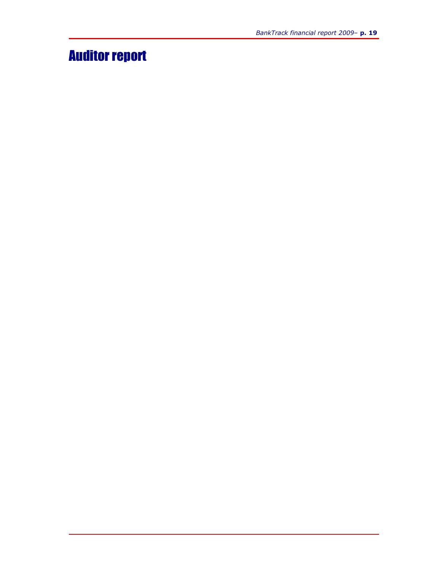## Auditor report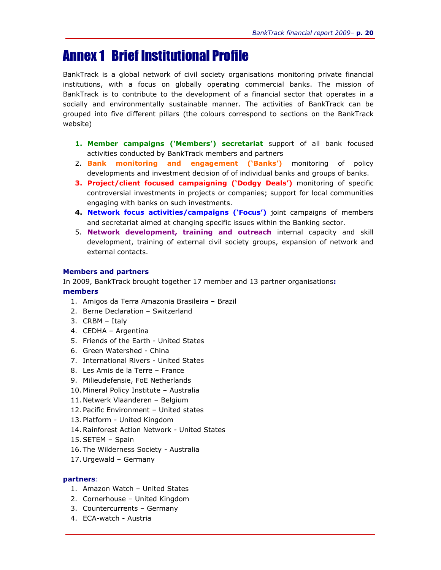### Annex 1 Brief Institutional Profile

BankTrack is a global network of civil society organisations monitoring private financial institutions, with a focus on globally operating commercial banks. The mission of BankTrack is to contribute to the development of a financial sector that operates in a socially and environmentally sustainable manner. The activities of BankTrack can be grouped into five different pillars (the colours correspond to sections on the BankTrack website)

- **1. Member campaigns ('Members') secretariat** support of all bank focused activities conducted by BankTrack members and partners
- 2. **Bank monitoring and engagement ('Banks')** monitoring of policy developments and investment decision of of individual banks and groups of banks.
- **3. Project/client focused campaigning ('Dodgy Deals')** monitoring of specific controversial investments in projects or companies; support for local communities engaging with banks on such investments.
- **4. Network focus activities/campaigns ('Focus')** joint campaigns of members and secretariat aimed at changing specific issues within the Banking sector.
- 5. **Network development, training and outreach** internal capacity and skill development, training of external civil society groups, expansion of network and external contacts.

#### **Members and partners**

In 2009, BankTrack brought together 17 member and 13 partner organisations**:**

#### **members**

- 1. Amigos da Terra Amazonia Brasileira Brazil
- 2. Berne Declaration Switzerland
- 3. CRBM Italy
- 4. CEDHA Argentina
- 5. Friends of the Earth United States
- 6. Green Watershed China
- 7. International Rivers United States
- 8. Les Amis de la Terre France
- 9. Milieudefensie, FoE Netherlands
- 10. Mineral Policy Institute Australia
- 11. Netwerk Vlaanderen Belgium
- 12. Pacific Environment United states
- 13. Platform United Kingdom
- 14. Rainforest Action Network United States
- 15. SETEM Spain
- 16. The Wilderness Society Australia
- 17. Urgewald Germany

#### **partners**:

- 1. Amazon Watch United States
- 2. Cornerhouse United Kingdom
- 3. Countercurrents Germany
- 4. ECA-watch Austria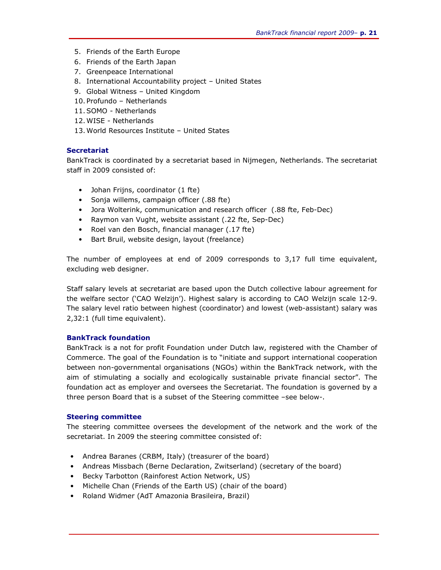- 5. Friends of the Earth Europe
- 6. Friends of the Earth Japan
- 7. Greenpeace International
- 8. International Accountability project United States
- 9. Global Witness United Kingdom
- 10. Profundo Netherlands
- 11.SOMO Netherlands
- 12.WISE Netherlands
- 13.World Resources Institute United States

#### **Secretariat**

BankTrack is coordinated by a secretariat based in Nijmegen, Netherlands. The secretariat staff in 2009 consisted of:

- Johan Frijns, coordinator (1 fte)
- Sonja willems, campaign officer (.88 fte)
- Jora Wolterink, communication and research officer (.88 fte, Feb-Dec)
- Raymon van Vught, website assistant (.22 fte, Sep-Dec)
- Roel van den Bosch, financial manager (.17 fte)
- Bart Bruil, website design, layout (freelance)

The number of employees at end of 2009 corresponds to 3,17 full time equivalent, excluding web designer.

Staff salary levels at secretariat are based upon the Dutch collective labour agreement for the welfare sector ('CAO Welzijn'). Highest salary is according to CAO Welzijn scale 12-9. The salary level ratio between highest (coordinator) and lowest (web-assistant) salary was 2,32:1 (full time equivalent).

#### **BankTrack foundation**

BankTrack is a not for profit Foundation under Dutch law, registered with the Chamber of Commerce. The goal of the Foundation is to "initiate and support international cooperation between non-governmental organisations (NGOs) within the BankTrack network, with the aim of stimulating a socially and ecologically sustainable private financial sector". The foundation act as employer and oversees the Secretariat. The foundation is governed by a three person Board that is a subset of the Steering committee –see below-.

#### **Steering committee**

The steering committee oversees the development of the network and the work of the secretariat. In 2009 the steering committee consisted of:

- Andrea Baranes (CRBM, Italy) (treasurer of the board)
- Andreas Missbach (Berne Declaration, Zwitserland) (secretary of the board)
- Becky Tarbotton (Rainforest Action Network, US)
- Michelle Chan (Friends of the Earth US) (chair of the board)
- Roland Widmer (AdT Amazonia Brasileira, Brazil)